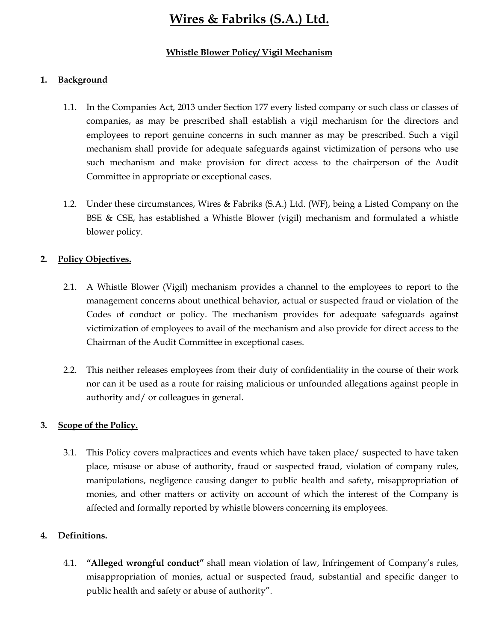#### Whistle Blower Policy/ Vigil Mechanism

#### 1. Background

- 1.1. In the Companies Act, 2013 under Section 177 every listed company or such class or classes of companies, as may be prescribed shall establish a vigil mechanism for the directors and employees to report genuine concerns in such manner as may be prescribed. Such a vigil mechanism shall provide for adequate safeguards against victimization of persons who use such mechanism and make provision for direct access to the chairperson of the Audit Committee in appropriate or exceptional cases.
- 1.2. Under these circumstances, Wires & Fabriks (S.A.) Ltd. (WF), being a Listed Company on the BSE & CSE, has established a Whistle Blower (vigil) mechanism and formulated a whistle blower policy.

#### 2. Policy Objectives.

- 2.1. A Whistle Blower (Vigil) mechanism provides a channel to the employees to report to the management concerns about unethical behavior, actual or suspected fraud or violation of the Codes of conduct or policy. The mechanism provides for adequate safeguards against victimization of employees to avail of the mechanism and also provide for direct access to the Chairman of the Audit Committee in exceptional cases.
- 2.2. This neither releases employees from their duty of confidentiality in the course of their work nor can it be used as a route for raising malicious or unfounded allegations against people in authority and/ or colleagues in general.

#### 3. Scope of the Policy.

3.1. This Policy covers malpractices and events which have taken place/ suspected to have taken place, misuse or abuse of authority, fraud or suspected fraud, violation of company rules, manipulations, negligence causing danger to public health and safety, misappropriation of monies, and other matters or activity on account of which the interest of the Company is affected and formally reported by whistle blowers concerning its employees.

#### 4. Definitions.

4.1. "Alleged wrongful conduct" shall mean violation of law, Infringement of Company's rules, misappropriation of monies, actual or suspected fraud, substantial and specific danger to public health and safety or abuse of authority".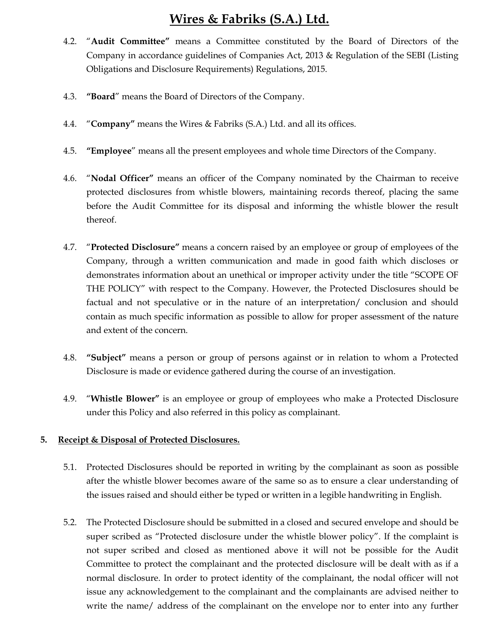- 4.2. "Audit Committee" means a Committee constituted by the Board of Directors of the Company in accordance guidelines of Companies Act, 2013 & Regulation of the SEBI (Listing Obligations and Disclosure Requirements) Regulations, 2015.
- 4.3. "Board" means the Board of Directors of the Company.
- 4.4. "Company" means the Wires & Fabriks (S.A.) Ltd. and all its offices.
- 4.5. "Employee" means all the present employees and whole time Directors of the Company.
- 4.6. "Nodal Officer" means an officer of the Company nominated by the Chairman to receive protected disclosures from whistle blowers, maintaining records thereof, placing the same before the Audit Committee for its disposal and informing the whistle blower the result thereof.
- 4.7. "Protected Disclosure" means a concern raised by an employee or group of employees of the Company, through a written communication and made in good faith which discloses or demonstrates information about an unethical or improper activity under the title "SCOPE OF THE POLICY" with respect to the Company. However, the Protected Disclosures should be factual and not speculative or in the nature of an interpretation/ conclusion and should contain as much specific information as possible to allow for proper assessment of the nature and extent of the concern.
- 4.8. "Subject" means a person or group of persons against or in relation to whom a Protected Disclosure is made or evidence gathered during the course of an investigation.
- 4.9. "Whistle Blower" is an employee or group of employees who make a Protected Disclosure under this Policy and also referred in this policy as complainant.

### 5. Receipt & Disposal of Protected Disclosures.

- 5.1. Protected Disclosures should be reported in writing by the complainant as soon as possible after the whistle blower becomes aware of the same so as to ensure a clear understanding of the issues raised and should either be typed or written in a legible handwriting in English.
- 5.2. The Protected Disclosure should be submitted in a closed and secured envelope and should be super scribed as "Protected disclosure under the whistle blower policy". If the complaint is not super scribed and closed as mentioned above it will not be possible for the Audit Committee to protect the complainant and the protected disclosure will be dealt with as if a normal disclosure. In order to protect identity of the complainant, the nodal officer will not issue any acknowledgement to the complainant and the complainants are advised neither to write the name/ address of the complainant on the envelope nor to enter into any further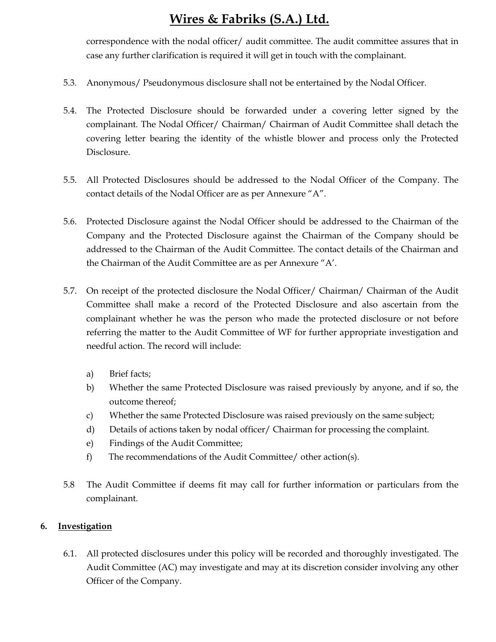correspondence with the nodal officer/ audit committee. The audit committee assures that in case any further clarification is required it will get in touch with the complainant.

- 5.3. Anonymous/ Pseudonymous disclosure shall not be entertained by the Nodal Officer.
- 5.4. The Protected Disclosure should be forwarded under a covering letter signed by the complainant. The Nodal Officer/ Chairman/ Chairman of Audit Committee shall detach the covering letter bearing the identity of the whistle blower and process only the Protected Disclosure.
- 5.5. All Protected Disclosures should be addressed to the Nodal Officer of the Company. The contact details of the Nodal Officer are as per Annexure "A".
- 5.6. Protected Disclosure against the Nodal Officer should be addressed to the Chairman of the Company and the Protected Disclosure against the Chairman of the Company should be addressed to the Chairman of the Audit Committee. The contact details of the Chairman and the Chairman of the Audit Committee are as per Annexure "A'.
- 5.7. On receipt of the protected disclosure the Nodal Officer/ Chairman/ Chairman of the Audit Committee shall make a record of the Protected Disclosure and also ascertain from the complainant whether he was the person who made the protected disclosure or not before referring the matter to the Audit Committee of WF for further appropriate investigation and needful action. The record will include:
	- a) Brief facts;
	- b) Whether the same Protected Disclosure was raised previously by anyone, and if so, the outcome thereof;
	- c) Whether the same Protected Disclosure was raised previously on the same subject;
	- d) Details of actions taken by nodal officer/ Chairman for processing the complaint.
	- e) Findings of the Audit Committee;
	- f) The recommendations of the Audit Committee/ other action(s).
- 5.8 The Audit Committee if deems fit may call for further information or particulars from the complainant.

#### 6. Investigation

6.1. All protected disclosures under this policy will be recorded and thoroughly investigated. The Audit Committee (AC) may investigate and may at its discretion consider involving any other Officer of the Company.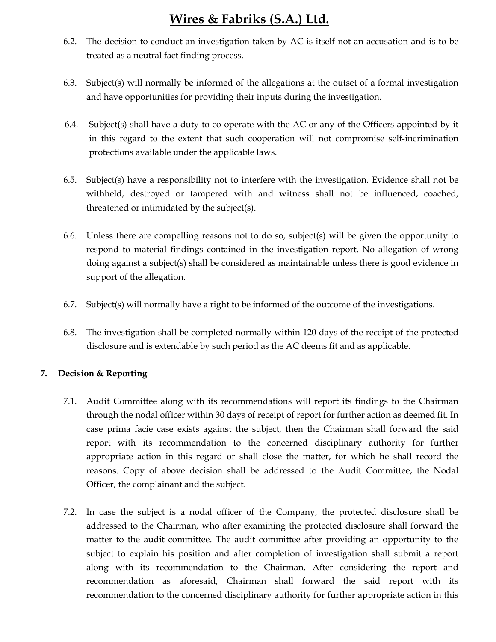- 6.2. The decision to conduct an investigation taken by AC is itself not an accusation and is to be treated as a neutral fact finding process.
- 6.3. Subject(s) will normally be informed of the allegations at the outset of a formal investigation and have opportunities for providing their inputs during the investigation.
- 6.4. Subject(s) shall have a duty to co-operate with the AC or any of the Officers appointed by it in this regard to the extent that such cooperation will not compromise self-incrimination protections available under the applicable laws.
- 6.5. Subject(s) have a responsibility not to interfere with the investigation. Evidence shall not be withheld, destroyed or tampered with and witness shall not be influenced, coached, threatened or intimidated by the subject(s).
- 6.6. Unless there are compelling reasons not to do so, subject(s) will be given the opportunity to respond to material findings contained in the investigation report. No allegation of wrong doing against a subject(s) shall be considered as maintainable unless there is good evidence in support of the allegation.
- 6.7. Subject(s) will normally have a right to be informed of the outcome of the investigations.
- 6.8. The investigation shall be completed normally within 120 days of the receipt of the protected disclosure and is extendable by such period as the AC deems fit and as applicable.

### 7. Decision & Reporting

- 7.1. Audit Committee along with its recommendations will report its findings to the Chairman through the nodal officer within 30 days of receipt of report for further action as deemed fit. In case prima facie case exists against the subject, then the Chairman shall forward the said report with its recommendation to the concerned disciplinary authority for further appropriate action in this regard or shall close the matter, for which he shall record the reasons. Copy of above decision shall be addressed to the Audit Committee, the Nodal Officer, the complainant and the subject.
- 7.2. In case the subject is a nodal officer of the Company, the protected disclosure shall be addressed to the Chairman, who after examining the protected disclosure shall forward the matter to the audit committee. The audit committee after providing an opportunity to the subject to explain his position and after completion of investigation shall submit a report along with its recommendation to the Chairman. After considering the report and recommendation as aforesaid, Chairman shall forward the said report with its recommendation to the concerned disciplinary authority for further appropriate action in this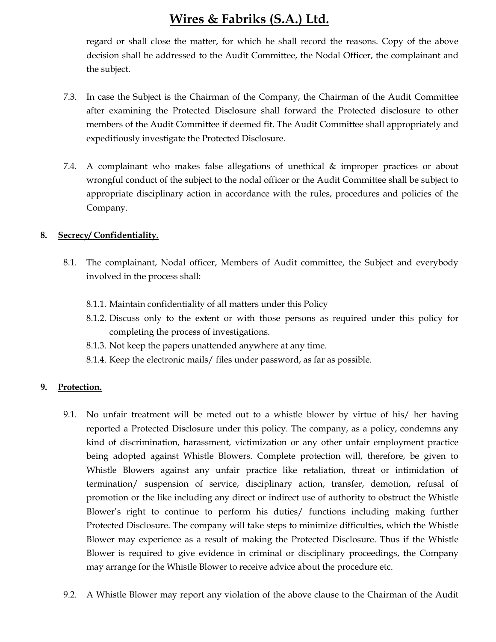regard or shall close the matter, for which he shall record the reasons. Copy of the above decision shall be addressed to the Audit Committee, the Nodal Officer, the complainant and the subject.

- 7.3. In case the Subject is the Chairman of the Company, the Chairman of the Audit Committee after examining the Protected Disclosure shall forward the Protected disclosure to other members of the Audit Committee if deemed fit. The Audit Committee shall appropriately and expeditiously investigate the Protected Disclosure.
- 7.4. A complainant who makes false allegations of unethical & improper practices or about wrongful conduct of the subject to the nodal officer or the Audit Committee shall be subject to appropriate disciplinary action in accordance with the rules, procedures and policies of the Company.

#### 8. Secrecy/ Confidentiality.

- 8.1. The complainant, Nodal officer, Members of Audit committee, the Subject and everybody involved in the process shall:
	- 8.1.1. Maintain confidentiality of all matters under this Policy
	- 8.1.2. Discuss only to the extent or with those persons as required under this policy for completing the process of investigations.
	- 8.1.3. Not keep the papers unattended anywhere at any time.
	- 8.1.4. Keep the electronic mails/ files under password, as far as possible.

#### 9. Protection.

- 9.1. No unfair treatment will be meted out to a whistle blower by virtue of his/ her having reported a Protected Disclosure under this policy. The company, as a policy, condemns any kind of discrimination, harassment, victimization or any other unfair employment practice being adopted against Whistle Blowers. Complete protection will, therefore, be given to Whistle Blowers against any unfair practice like retaliation, threat or intimidation of termination/ suspension of service, disciplinary action, transfer, demotion, refusal of promotion or the like including any direct or indirect use of authority to obstruct the Whistle Blower's right to continue to perform his duties/ functions including making further Protected Disclosure. The company will take steps to minimize difficulties, which the Whistle Blower may experience as a result of making the Protected Disclosure. Thus if the Whistle Blower is required to give evidence in criminal or disciplinary proceedings, the Company may arrange for the Whistle Blower to receive advice about the procedure etc.
- 9.2. A Whistle Blower may report any violation of the above clause to the Chairman of the Audit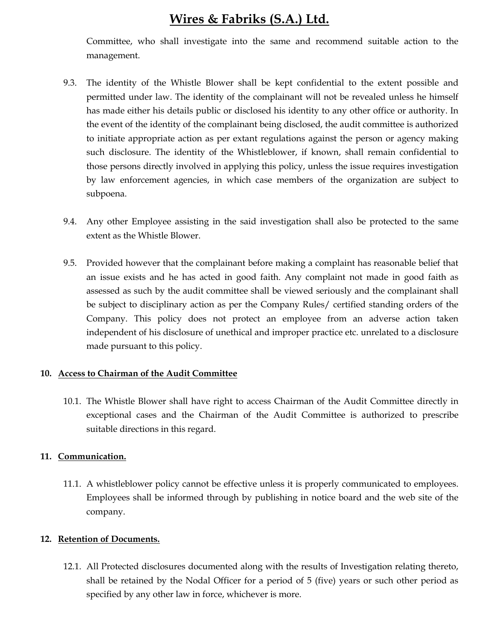Committee, who shall investigate into the same and recommend suitable action to the management.

- 9.3. The identity of the Whistle Blower shall be kept confidential to the extent possible and permitted under law. The identity of the complainant will not be revealed unless he himself has made either his details public or disclosed his identity to any other office or authority. In the event of the identity of the complainant being disclosed, the audit committee is authorized to initiate appropriate action as per extant regulations against the person or agency making such disclosure. The identity of the Whistleblower, if known, shall remain confidential to those persons directly involved in applying this policy, unless the issue requires investigation by law enforcement agencies, in which case members of the organization are subject to subpoena.
- 9.4. Any other Employee assisting in the said investigation shall also be protected to the same extent as the Whistle Blower.
- 9.5. Provided however that the complainant before making a complaint has reasonable belief that an issue exists and he has acted in good faith. Any complaint not made in good faith as assessed as such by the audit committee shall be viewed seriously and the complainant shall be subject to disciplinary action as per the Company Rules/ certified standing orders of the Company. This policy does not protect an employee from an adverse action taken independent of his disclosure of unethical and improper practice etc. unrelated to a disclosure made pursuant to this policy.

#### 10. Access to Chairman of the Audit Committee

10.1. The Whistle Blower shall have right to access Chairman of the Audit Committee directly in exceptional cases and the Chairman of the Audit Committee is authorized to prescribe suitable directions in this regard.

#### 11. Communication.

11.1. A whistleblower policy cannot be effective unless it is properly communicated to employees. Employees shall be informed through by publishing in notice board and the web site of the company.

#### 12. Retention of Documents.

12.1. All Protected disclosures documented along with the results of Investigation relating thereto, shall be retained by the Nodal Officer for a period of 5 (five) years or such other period as specified by any other law in force, whichever is more.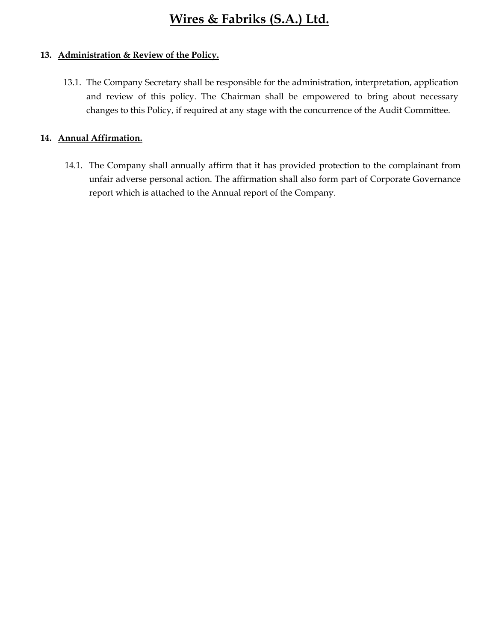### 13. Administration & Review of the Policy.

13.1. The Company Secretary shall be responsible for the administration, interpretation, application and review of this policy. The Chairman shall be empowered to bring about necessary changes to this Policy, if required at any stage with the concurrence of the Audit Committee.

#### 14. Annual Affirmation.

14.1. The Company shall annually affirm that it has provided protection to the complainant from unfair adverse personal action. The affirmation shall also form part of Corporate Governance report which is attached to the Annual report of the Company.